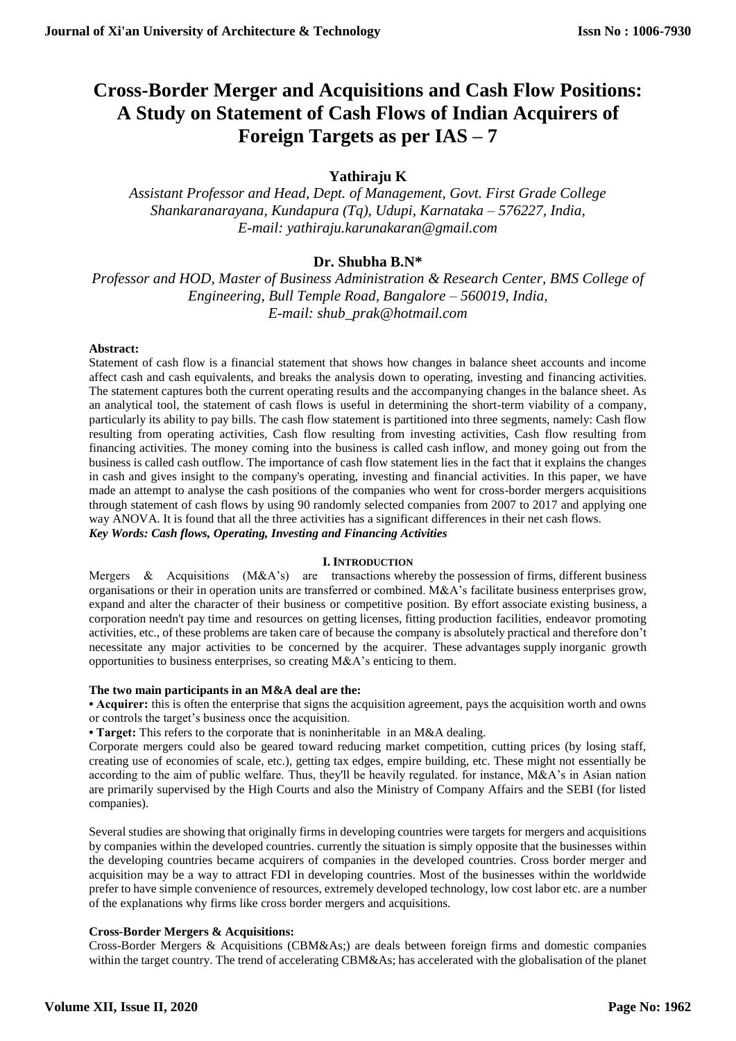# **Cross-Border Merger and Acquisitions and Cash Flow Positions: A Study on Statement of Cash Flows of Indian Acquirers of Foreign Targets as per IAS – 7**

# **Yathiraju K**

*Assistant Professor and Head, Dept. of Management, Govt. First Grade College Shankaranarayana, Kundapura (Tq), Udupi, Karnataka – 576227, India, E-mail: yathiraju.karunakaran@gmail.com*

# **Dr. Shubha B.N\***

*Professor and HOD, Master of Business Administration & Research Center, BMS College of Engineering, Bull Temple Road, Bangalore – 560019, India, E-mail: shub\_prak@hotmail.com*

### **Abstract:**

Statement of cash flow is a financial statement that shows how changes in balance sheet accounts and income affect cash and cash equivalents, and breaks the analysis down to operating, investing and financing activities. The statement captures both the current operating results and the accompanying changes in the balance sheet. As an analytical tool, the statement of cash flows is useful in determining the short-term viability of a company, particularly its ability to pay bills. The cash flow statement is partitioned into three segments, namely: Cash flow resulting from operating activities, Cash flow resulting from investing activities, Cash flow resulting from financing activities. The money coming into the business is called cash inflow, and money going out from the business is called cash outflow. The importance of cash flow statement lies in the fact that it explains the changes in cash and gives insight to the company's operating, investing and financial activities. In this paper, we have made an attempt to analyse the cash positions of the companies who went for cross-border mergers acquisitions through statement of cash flows by using 90 randomly selected companies from 2007 to 2017 and applying one way ANOVA. It is found that all the three activities has a significant differences in their net cash flows. *Key Words: Cash flows, Operating, Investing and Financing Activities* 

#### **I. INTRODUCTION**

Mergers & Acquisitions (M&A's) are transactions whereby the possession of firms, different business organisations or their in operation units are transferred or combined.  $M&A$ 's facilitate business enterprises grow, expand and alter the character of their business or competitive position. By effort associate existing business, a corporation needn't pay time and resources on getting licenses, fitting production facilities, endeavor promoting activities, etc., of these problems are taken care of because the company is absolutely practical and therefore don't necessitate any major activities to be concerned by the acquirer. These advantages supply inorganic growth opportunities to business enterprises, so creating M&A's enticing to them.

#### **The two main participants in an M&A deal are the:**

• **Acquirer:** this is often the enterprise that signs the acquisition agreement, pays the acquisition worth and owns or controls the target's business once the acquisition.

**• Target:** This refers to the corporate that is noninheritable in an M&A dealing.

Corporate mergers could also be geared toward reducing market competition, cutting prices (by losing staff, creating use of economies of scale, etc.), getting tax edges, empire building, etc. These might not essentially be according to the aim of public welfare. Thus, they'll be heavily regulated. for instance, M&A's in Asian nation are primarily supervised by the High Courts and also the Ministry of Company Affairs and the SEBI (for listed companies).

Several studies are showing that originally firms in developing countries were targets for mergers and acquisitions by companies within the developed countries. currently the situation is simply opposite that the businesses within the developing countries became acquirers of companies in the developed countries. Cross border merger and acquisition may be a way to attract FDI in developing countries. Most of the businesses within the worldwide prefer to have simple convenience of resources, extremely developed technology, low cost labor etc. are a number of the explanations why firms like cross border mergers and acquisitions.

### **Cross-Border Mergers & Acquisitions:**

Cross-Border Mergers & Acquisitions (CBM&As;) are deals between foreign firms and domestic companies within the target country. The trend of accelerating CBM&As; has accelerated with the globalisation of the planet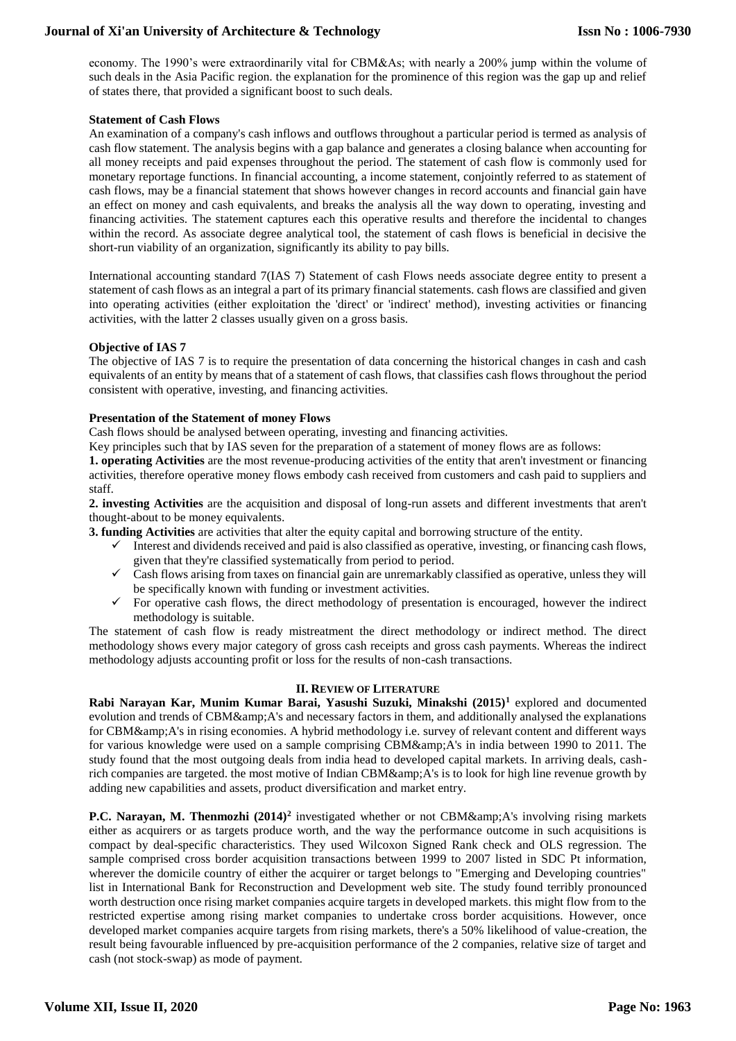economy. The 1990's were extraordinarily vital for CBM&As; with nearly a 200% jump within the volume of such deals in the Asia Pacific region. the explanation for the prominence of this region was the gap up and relief of states there, that provided a significant boost to such deals.

#### **Statement of Cash Flows**

An examination of a company's cash inflows and outflows throughout a particular period is termed as analysis of cash flow statement. The analysis begins with a gap balance and generates a closing balance when accounting for all money receipts and paid expenses throughout the period. The statement of cash flow is commonly used for monetary reportage functions. In financial accounting, a income statement, conjointly referred to as statement of cash flows, may be a financial statement that shows however changes in record accounts and financial gain have an effect on money and cash equivalents, and breaks the analysis all the way down to operating, investing and financing activities. The statement captures each this operative results and therefore the incidental to changes within the record. As associate degree analytical tool, the statement of cash flows is beneficial in decisive the short-run viability of an organization, significantly its ability to pay bills.

International accounting standard 7(IAS 7) Statement of cash Flows needs associate degree entity to present a statement of cash flows as an integral a part of its primary financial statements. cash flows are classified and given into operating activities (either exploitation the 'direct' or 'indirect' method), investing activities or financing activities, with the latter 2 classes usually given on a gross basis.

### **Objective of IAS 7**

The objective of IAS 7 is to require the presentation of data concerning the historical changes in cash and cash equivalents of an entity by means that of a statement of cash flows, that classifies cash flows throughout the period consistent with operative, investing, and financing activities.

### **Presentation of the Statement of money Flows**

Cash flows should be analysed between operating, investing and financing activities.

Key principles such that by IAS seven for the preparation of a statement of money flows are as follows:

**1. operating Activities** are the most revenue-producing activities of the entity that aren't investment or financing activities, therefore operative money flows embody cash received from customers and cash paid to suppliers and staff.

**2. investing Activities** are the acquisition and disposal of long-run assets and different investments that aren't thought-about to be money equivalents.

**3. funding Activities** are activities that alter the equity capital and borrowing structure of the entity.

- $\checkmark$  Interest and dividends received and paid is also classified as operative, investing, or financing cash flows, given that they're classified systematically from period to period.
- $\checkmark$  Cash flows arising from taxes on financial gain are unremarkably classified as operative, unless they will be specifically known with funding or investment activities.
- $\checkmark$  For operative cash flows, the direct methodology of presentation is encouraged, however the indirect methodology is suitable.

The statement of cash flow is ready mistreatment the direct methodology or indirect method. The direct methodology shows every major category of gross cash receipts and gross cash payments. Whereas the indirect methodology adjusts accounting profit or loss for the results of non-cash transactions.

### **II. REVIEW OF LITERATURE**

**Rabi Narayan Kar, Munim Kumar Barai, Yasushi Suzuki, Minakshi (2015)<sup>1</sup>** explored and documented evolution and trends of CBM&A's and necessary factors in them, and additionally analysed the explanations for CBM& A's in rising economies. A hybrid methodology i.e. survey of relevant content and different ways for various knowledge were used on a sample comprising CBM $\&$ amp;A's in india between 1990 to 2011. The study found that the most outgoing deals from india head to developed capital markets. In arriving deals, cashrich companies are targeted. the most motive of Indian CBM&A's is to look for high line revenue growth by adding new capabilities and assets, product diversification and market entry.

**P.C. Narayan, M. Thenmozhi (2014)<sup>2</sup>** investigated whether or not CBM&A's involving rising markets either as acquirers or as targets produce worth, and the way the performance outcome in such acquisitions is compact by deal-specific characteristics. They used Wilcoxon Signed Rank check and OLS regression. The sample comprised cross border acquisition transactions between 1999 to 2007 listed in SDC Pt information, wherever the domicile country of either the acquirer or target belongs to "Emerging and Developing countries" list in International Bank for Reconstruction and Development web site. The study found terribly pronounced worth destruction once rising market companies acquire targets in developed markets. this might flow from to the restricted expertise among rising market companies to undertake cross border acquisitions. However, once developed market companies acquire targets from rising markets, there's a 50% likelihood of value-creation, the result being favourable influenced by pre-acquisition performance of the 2 companies, relative size of target and cash (not stock-swap) as mode of payment.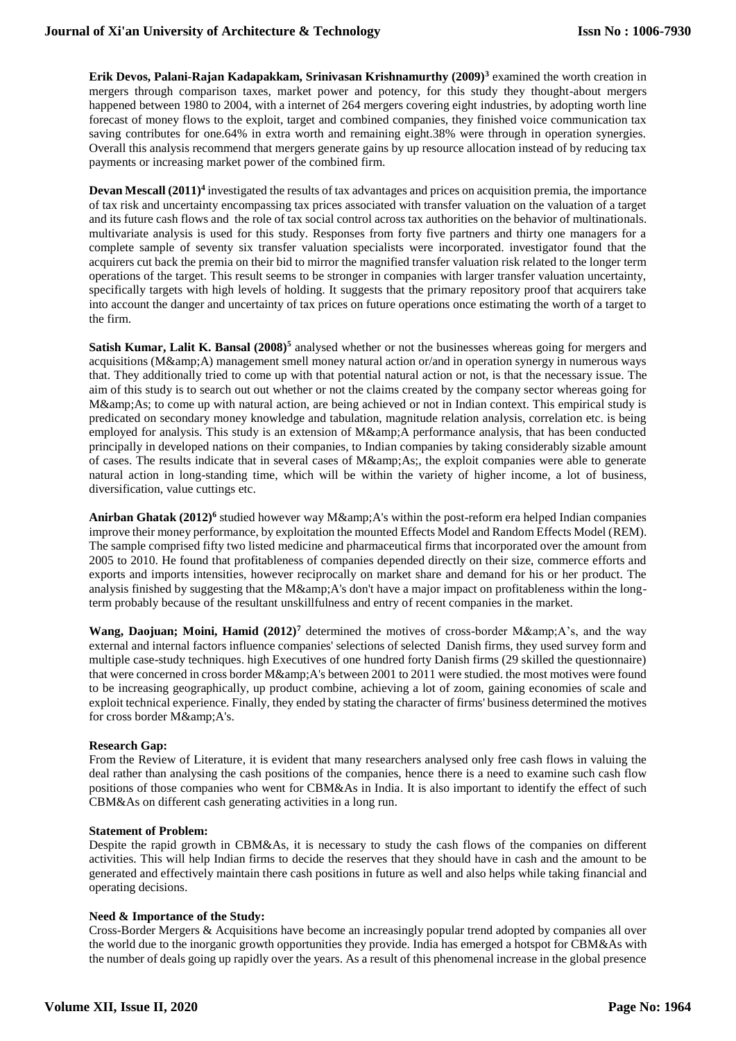**Erik Devos, Palani-Rajan Kadapakkam, Srinivasan Krishnamurthy (2009)<sup>3</sup>** examined the worth creation in mergers through comparison taxes, market power and potency, for this study they thought-about mergers happened between 1980 to 2004, with a internet of 264 mergers covering eight industries, by adopting worth line forecast of money flows to the exploit, target and combined companies, they finished voice communication tax saving contributes for one.64% in extra worth and remaining eight.38% were through in operation synergies. Overall this analysis recommend that mergers generate gains by up resource allocation instead of by reducing tax payments or increasing market power of the combined firm.

**Devan Mescall (2011)<sup>4</sup>** investigated the results of tax advantages and prices on acquisition premia, the importance of tax risk and uncertainty encompassing tax prices associated with transfer valuation on the valuation of a target and its future cash flows and the role of tax social control across tax authorities on the behavior of multinationals. multivariate analysis is used for this study. Responses from forty five partners and thirty one managers for a complete sample of seventy six transfer valuation specialists were incorporated. investigator found that the acquirers cut back the premia on their bid to mirror the magnified transfer valuation risk related to the longer term operations of the target. This result seems to be stronger in companies with larger transfer valuation uncertainty, specifically targets with high levels of holding. It suggests that the primary repository proof that acquirers take into account the danger and uncertainty of tax prices on future operations once estimating the worth of a target to the firm.

Satish Kumar, Lalit K. Bansal (2008)<sup>5</sup> analysed whether or not the businesses whereas going for mergers and acquisitions (M&amp:A) management smell money natural action or/and in operation synergy in numerous ways that. They additionally tried to come up with that potential natural action or not, is that the necessary issue. The aim of this study is to search out out whether or not the claims created by the company sector whereas going for M& As; to come up with natural action, are being achieved or not in Indian context. This empirical study is predicated on secondary money knowledge and tabulation, magnitude relation analysis, correlation etc. is being employed for analysis. This study is an extension of M&A performance analysis, that has been conducted principally in developed nations on their companies, to Indian companies by taking considerably sizable amount of cases. The results indicate that in several cases of M&As;, the exploit companies were able to generate natural action in long-standing time, which will be within the variety of higher income, a lot of business, diversification, value cuttings etc.

Anirban Ghatak (2012)<sup>6</sup> studied however way M&amp;A's within the post-reform era helped Indian companies improve their money performance, by exploitation the mounted Effects Model and Random Effects Model (REM). The sample comprised fifty two listed medicine and pharmaceutical firms that incorporated over the amount from 2005 to 2010. He found that profitableness of companies depended directly on their size, commerce efforts and exports and imports intensities, however reciprocally on market share and demand for his or her product. The analysis finished by suggesting that the M $\&$ amp; A's don't have a major impact on profitableness within the longterm probably because of the resultant unskillfulness and entry of recent companies in the market.

**Wang, Daojuan; Moini, Hamid**  $(2012)^7$  **determined the motives of cross-border M&A's, and the way** external and internal factors influence companies' selections of selected Danish firms, they used survey form and multiple case-study techniques. high Executives of one hundred forty Danish firms (29 skilled the questionnaire) that were concerned in cross border M& A's between 2001 to 2011 were studied. the most motives were found to be increasing geographically, up product combine, achieving a lot of zoom, gaining economies of scale and exploit technical experience. Finally, they ended by stating the character of firms' business determined the motives for cross border M& A's.

### **Research Gap:**

From the Review of Literature, it is evident that many researchers analysed only free cash flows in valuing the deal rather than analysing the cash positions of the companies, hence there is a need to examine such cash flow positions of those companies who went for CBM&As in India. It is also important to identify the effect of such CBM&As on different cash generating activities in a long run.

#### **Statement of Problem:**

Despite the rapid growth in CBM&As, it is necessary to study the cash flows of the companies on different activities. This will help Indian firms to decide the reserves that they should have in cash and the amount to be generated and effectively maintain there cash positions in future as well and also helps while taking financial and operating decisions.

#### **Need & Importance of the Study:**

Cross-Border Mergers & Acquisitions have become an increasingly popular trend adopted by companies all over the world due to the inorganic growth opportunities they provide. India has emerged a hotspot for CBM&As with the number of deals going up rapidly over the years. As a result of this phenomenal increase in the global presence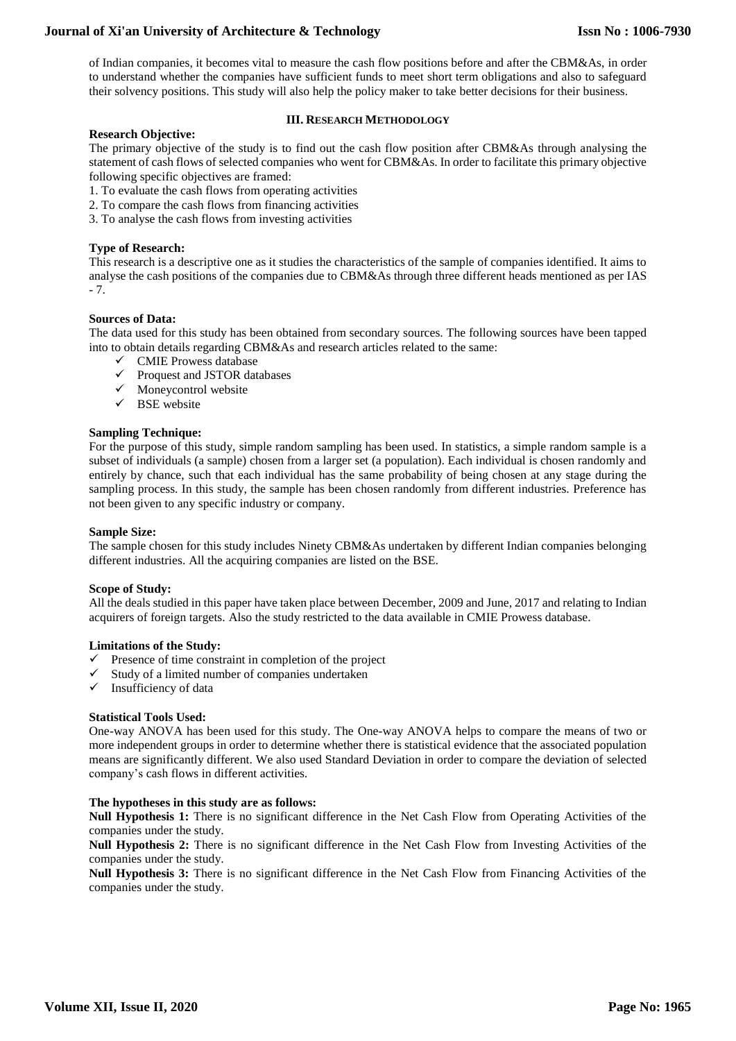of Indian companies, it becomes vital to measure the cash flow positions before and after the CBM&As, in order to understand whether the companies have sufficient funds to meet short term obligations and also to safeguard their solvency positions. This study will also help the policy maker to take better decisions for their business.

## **III. RESEARCH METHODOLOGY**

**Research Objective:** The primary objective of the study is to find out the cash flow position after CBM&As through analysing the statement of cash flows of selected companies who went for CBM&As. In order to facilitate this primary objective following specific objectives are framed:

- 1. To evaluate the cash flows from operating activities
- 2. To compare the cash flows from financing activities
- 3. To analyse the cash flows from investing activities

## **Type of Research:**

This research is a descriptive one as it studies the characteristics of the sample of companies identified. It aims to analyse the cash positions of the companies due to CBM&As through three different heads mentioned as per IAS - 7.

### **Sources of Data:**

The data used for this study has been obtained from secondary sources. The following sources have been tapped into to obtain details regarding CBM&As and research articles related to the same:

- $\checkmark$  CMIE Prowess database
- Proquest and JSTOR databases
- $\checkmark$  Moneycontrol website
- $\checkmark$  BSE website

#### **Sampling Technique:**

For the purpose of this study, simple random sampling has been used. In statistics, a simple random sample is a subset of individuals (a sample) chosen from a larger set (a population). Each individual is chosen randomly and entirely by chance, such that each individual has the same probability of being chosen at any stage during the sampling process. In this study, the sample has been chosen randomly from different industries. Preference has not been given to any specific industry or company.

#### **Sample Size:**

The sample chosen for this study includes Ninety CBM&As undertaken by different Indian companies belonging different industries. All the acquiring companies are listed on the BSE.

### **Scope of Study:**

All the deals studied in this paper have taken place between December, 2009 and June, 2017 and relating to Indian acquirers of foreign targets. Also the study restricted to the data available in CMIE Prowess database.

#### **Limitations of the Study:**

- $\checkmark$  Presence of time constraint in completion of the project
- $\checkmark$  Study of a limited number of companies undertaken
- $\checkmark$  Insufficiency of data

#### **Statistical Tools Used:**

One-way ANOVA has been used for this study. The One-way ANOVA helps to compare the means of two or more independent groups in order to determine whether there is statistical evidence that the associated population means are significantly different. We also used Standard Deviation in order to compare the deviation of selected company's cash flows in different activities.

#### **The hypotheses in this study are as follows:**

**Null Hypothesis 1:** There is no significant difference in the Net Cash Flow from Operating Activities of the companies under the study.

**Null Hypothesis 2:** There is no significant difference in the Net Cash Flow from Investing Activities of the companies under the study.

**Null Hypothesis 3:** There is no significant difference in the Net Cash Flow from Financing Activities of the companies under the study.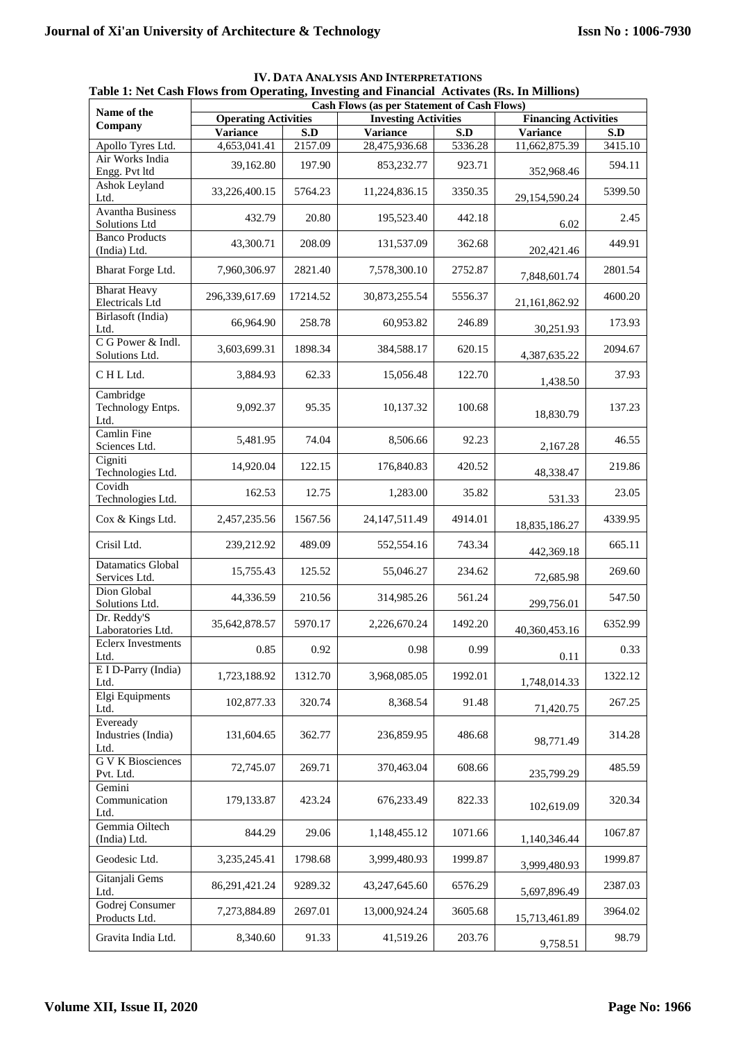| rabic 1. Net Cash Flows from Operating, Investing and Financial Activates (Ks. In Minions)<br><b>Cash Flows (as per Statement of Cash Flows)</b> |                             |          |                             |         |                             |         |  |  |
|--------------------------------------------------------------------------------------------------------------------------------------------------|-----------------------------|----------|-----------------------------|---------|-----------------------------|---------|--|--|
| Name of the                                                                                                                                      |                             |          |                             |         |                             |         |  |  |
| Company                                                                                                                                          | <b>Operating Activities</b> |          | <b>Investing Activities</b> |         | <b>Financing Activities</b> |         |  |  |
|                                                                                                                                                  | <b>Variance</b>             | S.D      | <b>Variance</b>             | S.D     | <b>Variance</b>             | S.D     |  |  |
| Apollo Tyres Ltd.                                                                                                                                | 4,653,041.41                | 2157.09  | 28,475,936.68               | 5336.28 | 11,662,875.39               | 3415.10 |  |  |
| Air Works India<br>Engg. Pvt ltd                                                                                                                 | 39,162.80                   | 197.90   | 853,232.77                  | 923.71  | 352,968.46                  | 594.11  |  |  |
| Ashok Leyland<br>Ltd.                                                                                                                            | 33,226,400.15               | 5764.23  | 11,224,836.15               | 3350.35 | 29,154,590.24               | 5399.50 |  |  |
| <b>Avantha Business</b><br>Solutions Ltd                                                                                                         | 432.79                      | 20.80    | 195,523.40                  | 442.18  | 6.02                        | 2.45    |  |  |
| <b>Banco Products</b><br>(India) Ltd.                                                                                                            | 43,300.71                   | 208.09   | 131,537.09                  | 362.68  | 202,421.46                  | 449.91  |  |  |
| Bharat Forge Ltd.                                                                                                                                | 7,960,306.97                | 2821.40  | 7,578,300.10                | 2752.87 | 7,848,601.74                | 2801.54 |  |  |
| <b>Bharat Heavy</b><br><b>Electricals Ltd</b>                                                                                                    | 296,339,617.69              | 17214.52 | 30,873,255.54               | 5556.37 | 21,161,862.92               | 4600.20 |  |  |
| Birlasoft (India)<br>Ltd.                                                                                                                        | 66,964.90                   | 258.78   | 60,953.82                   | 246.89  | 30,251.93                   | 173.93  |  |  |
| C G Power & Indl.<br>Solutions Ltd.                                                                                                              | 3,603,699.31                | 1898.34  | 384,588.17                  | 620.15  | 4,387,635.22                | 2094.67 |  |  |
| CHLLtd.                                                                                                                                          | 3,884.93                    | 62.33    | 15,056.48                   | 122.70  | 1,438.50                    | 37.93   |  |  |
| Cambridge<br>Technology Entps.<br>Ltd.                                                                                                           | 9,092.37                    | 95.35    | 10,137.32                   | 100.68  | 18,830.79                   | 137.23  |  |  |
| Camlin Fine<br>Sciences Ltd.                                                                                                                     | 5,481.95                    | 74.04    | 8,506.66                    | 92.23   | 2,167.28                    | 46.55   |  |  |
| Cigniti<br>Technologies Ltd.                                                                                                                     | 14,920.04                   | 122.15   | 176,840.83                  | 420.52  | 48,338.47                   | 219.86  |  |  |
| Covidh<br>Technologies Ltd.                                                                                                                      | 162.53                      | 12.75    | 1,283.00                    | 35.82   | 531.33                      | 23.05   |  |  |
| Cox & Kings Ltd.                                                                                                                                 | 2,457,235.56                | 1567.56  | 24, 147, 511. 49            | 4914.01 | 18,835,186.27               | 4339.95 |  |  |
| Crisil Ltd.                                                                                                                                      | 239,212.92                  | 489.09   | 552,554.16                  | 743.34  | 442,369.18                  | 665.11  |  |  |
| <b>Datamatics Global</b><br>Services Ltd.                                                                                                        | 15,755.43                   | 125.52   | 55,046.27                   | 234.62  | 72,685.98                   | 269.60  |  |  |
| Dion Global<br>Solutions Ltd.                                                                                                                    | 44,336.59                   | 210.56   | 314,985.26                  | 561.24  | 299,756.01                  | 547.50  |  |  |
| Dr. Reddy'S<br>Laboratories Ltd.                                                                                                                 | 35,642,878.57               | 5970.17  | 2,226,670.24                | 1492.20 | 40,360,453.16               | 6352.99 |  |  |
| <b>Eclerx Investments</b><br>Ltd.                                                                                                                | 0.85                        | $0.92\,$ | 0.98                        | 0.99    | 0.11                        | 0.33    |  |  |
| E I D-Parry (India)<br>Ltd.                                                                                                                      | 1,723,188.92                | 1312.70  | 3,968,085.05                | 1992.01 | 1,748,014.33                | 1322.12 |  |  |
| Elgi Equipments<br>Ltd.<br>Eveready                                                                                                              | 102,877.33                  | 320.74   | 8,368.54                    | 91.48   | 71,420.75                   | 267.25  |  |  |
| Industries (India)<br>Ltd.                                                                                                                       | 131,604.65                  | 362.77   | 236,859.95                  | 486.68  | 98,771.49                   | 314.28  |  |  |
| <b>GVK</b> Biosciences<br>Pvt. Ltd.                                                                                                              | 72,745.07                   | 269.71   | 370,463.04                  | 608.66  | 235,799.29                  | 485.59  |  |  |
| Gemini<br>Communication<br>Ltd.                                                                                                                  | 179,133.87                  | 423.24   | 676,233.49                  | 822.33  | 102,619.09                  | 320.34  |  |  |
| Gemmia Oiltech<br>(India) Ltd.                                                                                                                   | 844.29                      | 29.06    | 1,148,455.12                | 1071.66 | 1,140,346.44                | 1067.87 |  |  |
| Geodesic Ltd.                                                                                                                                    | 3,235,245.41                | 1798.68  | 3,999,480.93                | 1999.87 | 3,999,480.93                | 1999.87 |  |  |
| Gitanjali Gems<br>Ltd.                                                                                                                           | 86,291,421.24               | 9289.32  | 43,247,645.60               | 6576.29 | 5,697,896.49                | 2387.03 |  |  |
| Godrej Consumer<br>Products Ltd.                                                                                                                 | 7,273,884.89                | 2697.01  | 13,000,924.24               | 3605.68 | 15,713,461.89               | 3964.02 |  |  |
| Gravita India Ltd.                                                                                                                               | 8,340.60                    | 91.33    | 41,519.26                   | 203.76  | 9,758.51                    | 98.79   |  |  |

**IV. DATA ANALYSIS AND INTERPRETATIONS Table 1: Net Cash Flows from Operating, Investing and Financial Activates (Rs. In Millions)**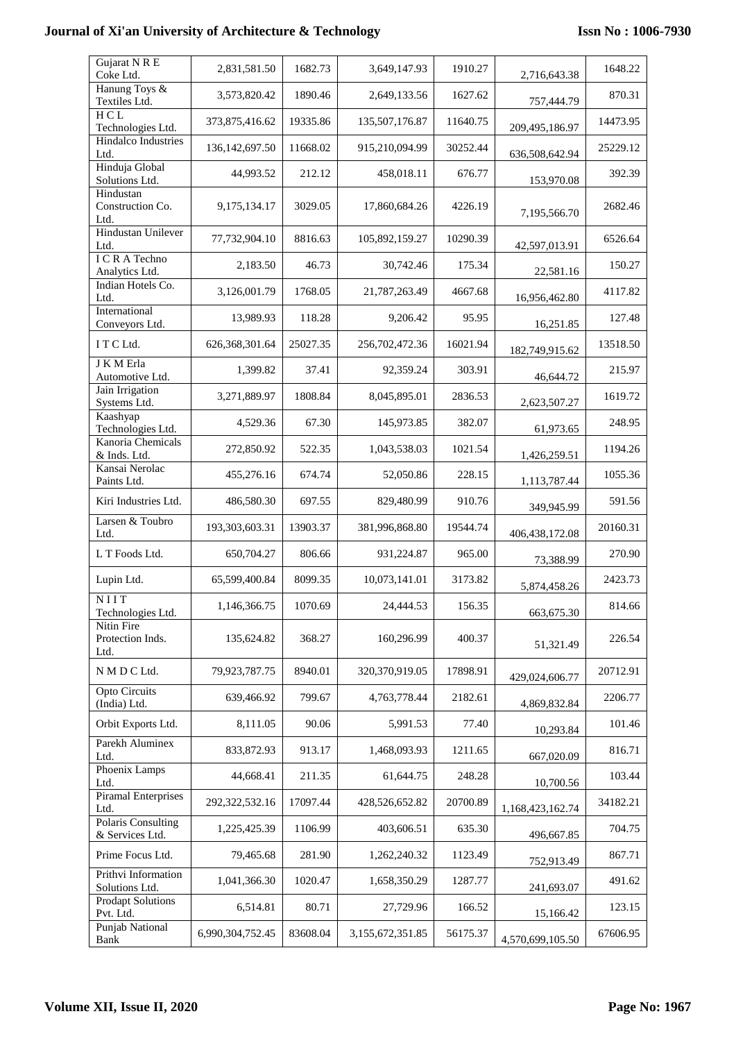| Gujarat N R E<br>Coke Ltd.                   | 2,831,581.50      | 1682.73  | 3,649,147.93     | 1910.27  | 2,716,643.38     | 1648.22  |
|----------------------------------------------|-------------------|----------|------------------|----------|------------------|----------|
| Hanung Toys &<br>Textiles Ltd.               | 3,573,820.42      | 1890.46  | 2,649,133.56     | 1627.62  | 757,444.79       | 870.31   |
| HCL<br>Technologies Ltd.                     | 373,875,416.62    | 19335.86 | 135,507,176.87   | 11640.75 | 209,495,186.97   | 14473.95 |
| Hindalco Industries<br>Ltd.                  | 136, 142, 697. 50 | 11668.02 | 915,210,094.99   | 30252.44 | 636,508,642.94   | 25229.12 |
| Hinduja Global<br>Solutions Ltd.             | 44,993.52         | 212.12   | 458,018.11       | 676.77   | 153,970.08       | 392.39   |
| Hindustan<br>Construction Co.<br>Ltd.        | 9,175,134.17      | 3029.05  | 17,860,684.26    | 4226.19  | 7,195,566.70     | 2682.46  |
| <b>Hindustan Unilever</b><br>Ltd.            | 77,732,904.10     | 8816.63  | 105,892,159.27   | 10290.39 | 42,597,013.91    | 6526.64  |
| I C R A Techno<br>Analytics Ltd.             | 2,183.50          | 46.73    | 30,742.46        | 175.34   | 22,581.16        | 150.27   |
| Indian Hotels Co.<br>Ltd.                    | 3,126,001.79      | 1768.05  | 21,787,263.49    | 4667.68  | 16,956,462.80    | 4117.82  |
| International<br>Conveyors Ltd.              | 13,989.93         | 118.28   | 9,206.42         | 95.95    | 16,251.85        | 127.48   |
| ITCLtd.                                      | 626,368,301.64    | 25027.35 | 256,702,472.36   | 16021.94 | 182,749,915.62   | 13518.50 |
| J K M Erla<br>Automotive Ltd.                | 1,399.82          | 37.41    | 92,359.24        | 303.91   | 46,644.72        | 215.97   |
| Jain Irrigation<br>Systems Ltd.              | 3,271,889.97      | 1808.84  | 8,045,895.01     | 2836.53  | 2,623,507.27     | 1619.72  |
| Kaashyap<br>Technologies Ltd.                | 4,529.36          | 67.30    | 145,973.85       | 382.07   | 61,973.65        | 248.95   |
| Kanoria Chemicals<br>& Inds. Ltd.            | 272,850.92        | 522.35   | 1,043,538.03     | 1021.54  | 1,426,259.51     | 1194.26  |
| Kansai Nerolac<br>Paints Ltd.                | 455,276.16        | 674.74   | 52,050.86        | 228.15   | 1,113,787.44     | 1055.36  |
| Kiri Industries Ltd.                         | 486,580.30        | 697.55   | 829,480.99       | 910.76   | 349,945.99       | 591.56   |
| Larsen & Toubro<br>Ltd.                      | 193,303,603.31    | 13903.37 | 381,996,868.80   | 19544.74 | 406, 438, 172.08 | 20160.31 |
| L T Foods Ltd.                               | 650,704.27        | 806.66   | 931,224.87       | 965.00   | 73,388.99        | 270.90   |
| Lupin Ltd.                                   | 65,599,400.84     | 8099.35  | 10,073,141.01    | 3173.82  | 5,874,458.26     | 2423.73  |
| NIIT<br>Technologies Ltd.                    | 1,146,366.75      | 1070.69  | 24,444.53        | 156.35   | 663,675.30       | 814.66   |
| Nitin Fire<br>Protection Inds.<br>Ltd.       | 135,624.82        | 368.27   | 160,296.99       | 400.37   | 51,321.49        | 226.54   |
| N M D C Ltd.                                 | 79,923,787.75     | 8940.01  | 320,370,919.05   | 17898.91 | 429,024,606.77   | 20712.91 |
| Opto Circuits<br>(India) Ltd.                | 639,466.92        | 799.67   | 4,763,778.44     | 2182.61  | 4,869,832.84     | 2206.77  |
| Orbit Exports Ltd.                           | 8,111.05          | 90.06    | 5,991.53         | 77.40    | 10,293.84        | 101.46   |
| Parekh Aluminex<br>Ltd.                      | 833, 872. 93      | 913.17   | 1,468,093.93     | 1211.65  | 667,020.09       | 816.71   |
| Phoenix Lamps<br>Ltd.                        | 44,668.41         | 211.35   | 61,644.75        | 248.28   | 10,700.56        | 103.44   |
| <b>Piramal Enterprises</b><br>Ltd.           | 292,322,532.16    | 17097.44 | 428,526,652.82   | 20700.89 | 1,168,423,162.74 | 34182.21 |
| <b>Polaris Consulting</b><br>& Services Ltd. | 1,225,425.39      | 1106.99  | 403,606.51       | 635.30   | 496,667.85       | 704.75   |
| Prime Focus Ltd.                             | 79,465.68         | 281.90   | 1,262,240.32     | 1123.49  | 752,913.49       | 867.71   |
| Prithvi Information<br>Solutions Ltd.        | 1,041,366.30      | 1020.47  | 1,658,350.29     | 1287.77  | 241,693.07       | 491.62   |
| <b>Prodapt Solutions</b><br>Pvt. Ltd.        | 6,514.81          | 80.71    | 27,729.96        | 166.52   | 15,166.42        | 123.15   |
| Punjab National<br>Bank                      | 6,990,304,752.45  | 83608.04 | 3,155,672,351.85 | 56175.37 | 4,570,699,105.50 | 67606.95 |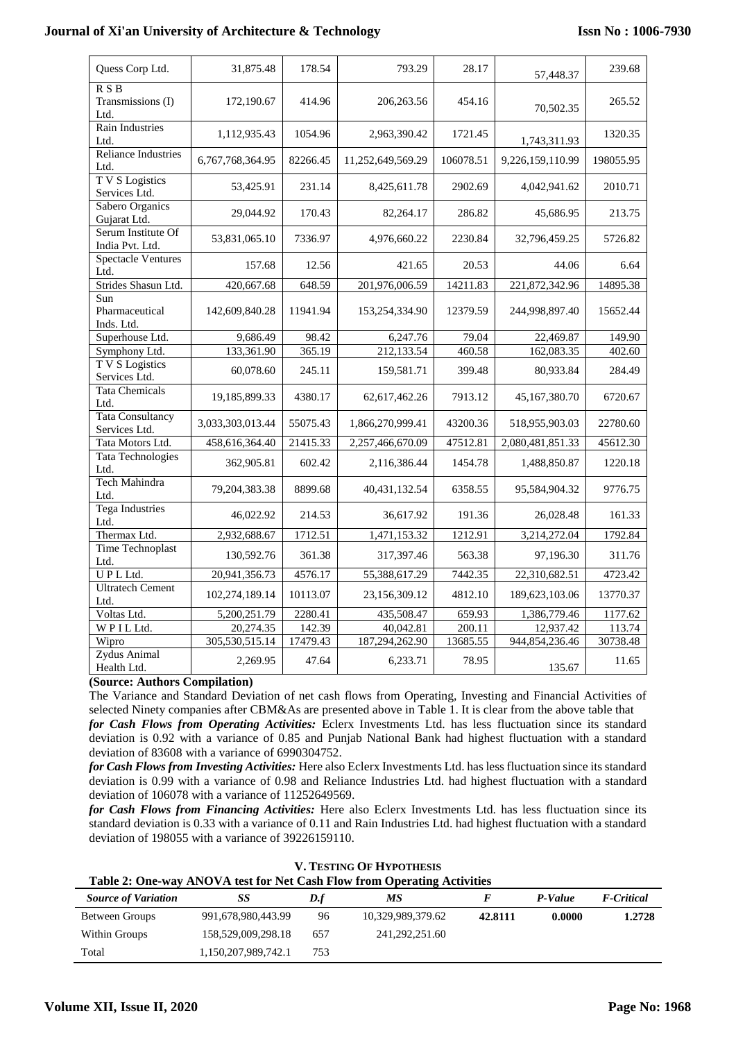| Quess Corp Ltd.                          | 31,875.48        | 178.54   | 793.29            | 28.17     | 57,448.37        | 239.68    |
|------------------------------------------|------------------|----------|-------------------|-----------|------------------|-----------|
| R S B<br>Transmissions (I)<br>Ltd.       | 172,190.67       | 414.96   | 206,263.56        | 454.16    | 70,502.35        | 265.52    |
| <b>Rain Industries</b><br>Ltd.           | 1,112,935.43     | 1054.96  | 2,963,390.42      | 1721.45   | 1,743,311.93     | 1320.35   |
| <b>Reliance Industries</b><br>Ltd.       | 6,767,768,364.95 | 82266.45 | 11,252,649,569.29 | 106078.51 | 9,226,159,110.99 | 198055.95 |
| T V S Logistics<br>Services Ltd.         | 53,425.91        | 231.14   | 8,425,611.78      | 2902.69   | 4,042,941.62     | 2010.71   |
| Sabero Organics<br>Gujarat Ltd.          | 29,044.92        | 170.43   | 82,264.17         | 286.82    | 45,686.95        | 213.75    |
| Serum Institute Of<br>India Pvt. Ltd.    | 53,831,065.10    | 7336.97  | 4,976,660.22      | 2230.84   | 32,796,459.25    | 5726.82   |
| <b>Spectacle Ventures</b><br>Ltd.        | 157.68           | 12.56    | 421.65            | 20.53     | 44.06            | 6.64      |
| Strides Shasun Ltd.                      | 420,667.68       | 648.59   | 201,976,006.59    | 14211.83  | 221,872,342.96   | 14895.38  |
| Sun<br>Pharmaceutical<br>Inds. Ltd.      | 142,609,840.28   | 11941.94 | 153,254,334.90    | 12379.59  | 244,998,897.40   | 15652.44  |
| Superhouse Ltd.                          | 9,686.49         | 98.42    | 6,247.76          | 79.04     | 22,469.87        | 149.90    |
| Symphony Ltd.                            | 133,361.90       | 365.19   | 212,133.54        | 460.58    | 162,083.35       | 402.60    |
| T V S Logistics<br>Services Ltd.         | 60,078.60        | 245.11   | 159,581.71        | 399.48    | 80,933.84        | 284.49    |
| <b>Tata Chemicals</b><br>Ltd.            | 19,185,899.33    | 4380.17  | 62,617,462.26     | 7913.12   | 45,167,380.70    | 6720.67   |
| <b>Tata Consultancy</b><br>Services Ltd. | 3,033,303,013.44 | 55075.43 | 1,866,270,999.41  | 43200.36  | 518,955,903.03   | 22780.60  |
| Tata Motors Ltd.                         | 458,616,364.40   | 21415.33 | 2,257,466,670.09  | 47512.81  | 2,080,481,851.33 | 45612.30  |
| Tata Technologies<br>Ltd.                | 362,905.81       | 602.42   | 2,116,386.44      | 1454.78   | 1,488,850.87     | 1220.18   |
| Tech Mahindra<br>Ltd.                    | 79, 204, 383. 38 | 8899.68  | 40, 431, 132. 54  | 6358.55   | 95,584,904.32    | 9776.75   |
| <b>Tega Industries</b><br>Ltd.           | 46,022.92        | 214.53   | 36,617.92         | 191.36    | 26,028.48        | 161.33    |
| Thermax Ltd.                             | 2,932,688.67     | 1712.51  | 1,471,153.32      | 1212.91   | 3,214,272.04     | 1792.84   |
| Time Technoplast<br>Ltd.                 | 130,592.76       | 361.38   | 317,397.46        | 563.38    | 97,196.30        | 311.76    |
| UPLLtd.                                  | 20,941,356.73    | 4576.17  | 55,388,617.29     | 7442.35   | 22,310,682.51    | 4723.42   |
| <b>Ultratech Cement</b><br>Ltd.          | 102,274,189.14   | 10113.07 | 23,156,309.12     | 4812.10   | 189,623,103.06   | 13770.37  |
| Voltas Ltd.                              | 5,200,251.79     | 2280.41  | 435,508.47        | 659.93    | 1,386,779.46     | 1177.62   |
| WPILLtd.                                 | 20,274.35        | 142.39   | 40,042.81         | 200.11    | 12,937.42        | 113.74    |
| Wipro                                    | 305,530,515.14   | 17479.43 | 187,294,262.90    | 13685.55  | 944,854,236.46   | 30738.48  |
| Zydus Animal<br>Health Ltd.              | 2,269.95         | 47.64    | 6,233.71          | 78.95     | 135.67           | 11.65     |

# **(Source: Authors Compilation)**

The Variance and Standard Deviation of net cash flows from Operating, Investing and Financial Activities of selected Ninety companies after CBM&As are presented above in Table 1. It is clear from the above table that

*for Cash Flows from Operating Activities:* Eclerx Investments Ltd. has less fluctuation since its standard deviation is 0.92 with a variance of 0.85 and Punjab National Bank had highest fluctuation with a standard deviation of 83608 with a variance of 6990304752.

*for Cash Flows from Investing Activities:* Here also Eclerx Investments Ltd. has less fluctuation since its standard deviation is 0.99 with a variance of 0.98 and Reliance Industries Ltd. had highest fluctuation with a standard deviation of 106078 with a variance of 11252649569.

*for Cash Flows from Financing Activities:* Here also Eclerx Investments Ltd. has less fluctuation since its standard deviation is 0.33 with a variance of 0.11 and Rain Industries Ltd. had highest fluctuation with a standard deviation of 198055 with a variance of 39226159110.

| <b>V. TESTING OF HYPOTHESIS</b>                                         |
|-------------------------------------------------------------------------|
| Table 2: One-way ANOVA test for Net Cash Flow from Operating Activities |

| Table 2. One-way move the test for first cash from from Operating Activities |                     |      |                   |         |         |                    |  |
|------------------------------------------------------------------------------|---------------------|------|-------------------|---------|---------|--------------------|--|
| <b>Source of Variation</b>                                                   | SS                  | D.f  | МS                |         | P-Value | <b>F</b> -Critical |  |
| Between Groups                                                               | 991,678,980,443.99  | 96   | 10,329,989,379.62 | 42.8111 | 0.0000  | 1.2728             |  |
| Within Groups                                                                | 158,529,009,298.18  | 657  | 241, 292, 251.60  |         |         |                    |  |
| Total                                                                        | 1,150,207,989,742.1 | 753. |                   |         |         |                    |  |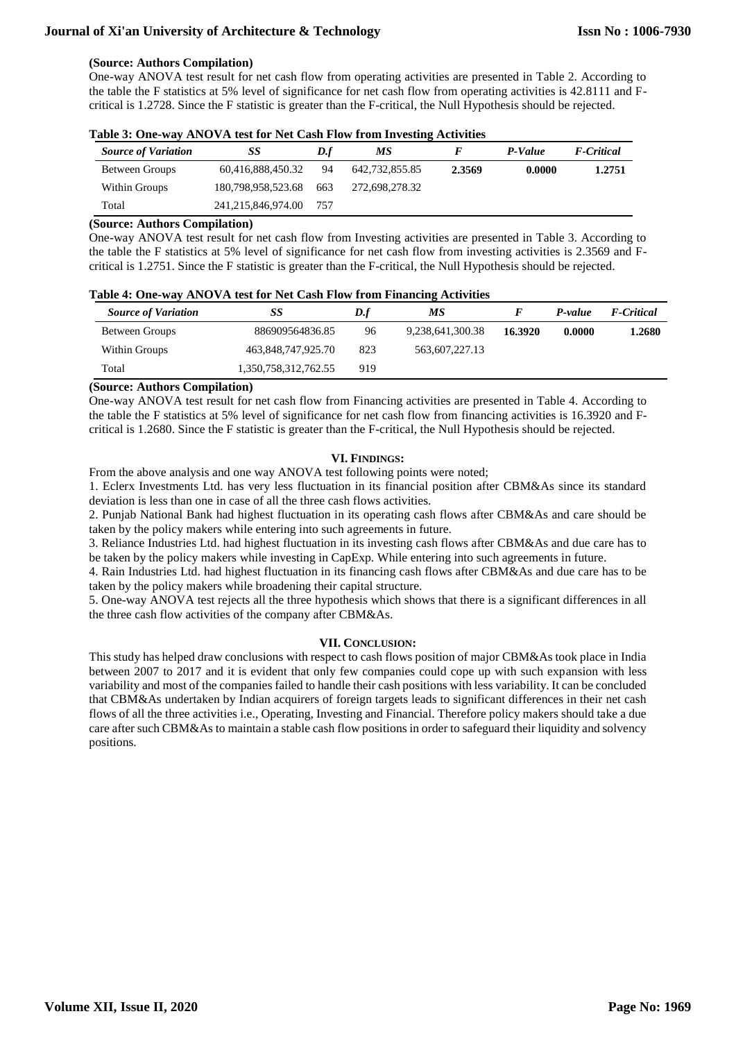#### **(Source: Authors Compilation)**

One-way ANOVA test result for net cash flow from operating activities are presented in Table 2. According to the table the F statistics at 5% level of significance for net cash flow from operating activities is 42.8111 and Fcritical is 1.2728. Since the F statistic is greater than the F-critical, the Null Hypothesis should be rejected.

| <b>Source of Variation</b> | SS                 | D.f | МS             |        | P-Value | <b>F</b> -Critical |
|----------------------------|--------------------|-----|----------------|--------|---------|--------------------|
| Between Groups             | 60,416,888,450.32  | 94  | 642,732,855.85 | 2.3569 | 0.0000  | 1.2751             |
| Within Groups              | 180,798,958,523.68 | 663 | 272,698,278.32 |        |         |                    |
| Total                      | 241,215,846,974.00 | 757 |                |        |         |                    |

| Table 3: One-way ANOVA test for Net Cash Flow from Investing Activities |  |  |  |  |  |  |  |
|-------------------------------------------------------------------------|--|--|--|--|--|--|--|
|-------------------------------------------------------------------------|--|--|--|--|--|--|--|

#### **(Source: Authors Compilation)**

One-way ANOVA test result for net cash flow from Investing activities are presented in Table 3. According to the table the F statistics at 5% level of significance for net cash flow from investing activities is 2.3569 and Fcritical is 1.2751. Since the F statistic is greater than the F-critical, the Null Hypothesis should be rejected.

|  |  |  | Table 4: One-way ANOVA test for Net Cash Flow from Financing Activities |  |
|--|--|--|-------------------------------------------------------------------------|--|
|  |  |  |                                                                         |  |

| <b>Source of Variation</b> | SS                   | D.f | МS               |         | P-value | <b>F-Critical</b> |
|----------------------------|----------------------|-----|------------------|---------|---------|-------------------|
| Between Groups             | 886909564836.85      | 96  | 9,238,641,300.38 | 16.3920 | 0.0000  | 1.2680            |
| Within Groups              | 463,848,747,925.70   | 823 | 563,607,227.13   |         |         |                   |
| Total                      | 1,350,758,312,762.55 | 919 |                  |         |         |                   |

#### **(Source: Authors Compilation)**

One-way ANOVA test result for net cash flow from Financing activities are presented in Table 4. According to the table the F statistics at 5% level of significance for net cash flow from financing activities is 16.3920 and Fcritical is 1.2680. Since the F statistic is greater than the F-critical, the Null Hypothesis should be rejected.

#### **VI. FINDINGS:**

From the above analysis and one way ANOVA test following points were noted;

1. Eclerx Investments Ltd. has very less fluctuation in its financial position after CBM&As since its standard deviation is less than one in case of all the three cash flows activities.

2. Punjab National Bank had highest fluctuation in its operating cash flows after CBM&As and care should be taken by the policy makers while entering into such agreements in future.

3. Reliance Industries Ltd. had highest fluctuation in its investing cash flows after CBM&As and due care has to be taken by the policy makers while investing in CapExp. While entering into such agreements in future.

4. Rain Industries Ltd. had highest fluctuation in its financing cash flows after CBM&As and due care has to be taken by the policy makers while broadening their capital structure.

5. One-way ANOVA test rejects all the three hypothesis which shows that there is a significant differences in all the three cash flow activities of the company after CBM&As.

#### **VII. CONCLUSION:**

This study has helped draw conclusions with respect to cash flows position of major CBM&As took place in India between 2007 to 2017 and it is evident that only few companies could cope up with such expansion with less variability and most of the companies failed to handle their cash positions with less variability. It can be concluded that CBM&As undertaken by Indian acquirers of foreign targets leads to significant differences in their net cash flows of all the three activities i.e., Operating, Investing and Financial. Therefore policy makers should take a due care after such CBM&As to maintain a stable cash flow positions in order to safeguard their liquidity and solvency positions.